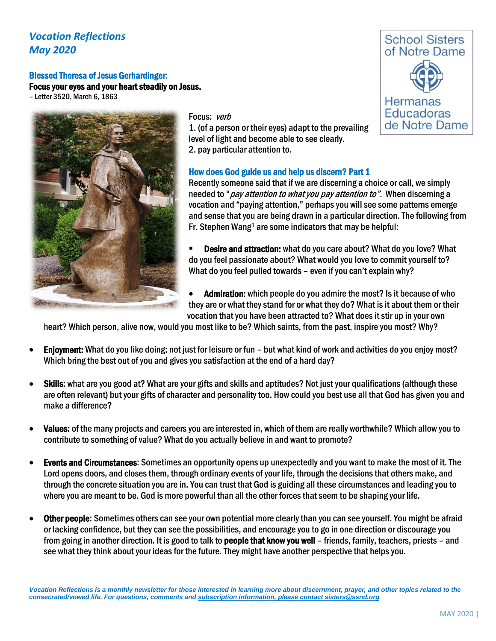## *Vocation Reflections May 2020*

## Blessed Theresa of Jesus Gerhardinger: Focus your eyes and your heart steadily on Jesus.

– Letter 3520, March 6, 1863



Focus: verb

1. (of a person or their eyes) adapt to the prevailing level of light and become able to see clearly. 2. pay particular attention to.

### How does God guide us and help us discern? Part 1

Recently someone said that if we are discerning a choice or call, we simply needed to "*pay attention to what you pay attention to"*. When discerning a vocation and "paying attention," perhaps you will see some patterns emerge and sense that you are being drawn in a particular direction. The following from Fr. Stephen Wang<sup>1</sup> are some indicators that may be helpful:

- **Desire and attraction:** what do you care about? What do you love? What do you feel passionate about? What would you love to commit yourself to? What do you feel pulled towards – even if you can't explain why?
- Admiration: which people do you admire the most? Is it because of who they are or what they stand for or what they do? What is it about them or their vocation that you have been attracted to? What does it stir up in your own

heart? Which person, alive now, would you most like to be? Which saints, from the past, inspire you most? Why?

- Enjoyment: What do you like doing; not just for leisure or fun but what kind of work and activities do you enjoy most? Which bring the best out of you and gives you satisfaction at the end of a hard day?
- Skills: what are you good at? What are your gifts and skills and aptitudes? Not just your qualifications (although these are often relevant) but your gifts of character and personality too. How could you best use all that God has given you and make a difference?
- Values: of the many projects and careers you are interested in, which of them are really worthwhile? Which allow you to contribute to something of value? What do you actually believe in and want to promote?
- Events and Circumstances: Sometimes an opportunity opens up unexpectedly and you want to make the most of it. The Lord opens doors, and closes them, through ordinary events of your life, through the decisions that others make, and through the concrete situation you are in. You can trust that God is guiding all these circumstances and leading you to where you are meant to be. God is more powerful than all the other forces that seem to be shaping your life.
- Other people: Sometimes others can see your own potential more clearly than you can see yourself. You might be afraid or lacking confidence, but they can see the possibilities, and encourage you to go in one direction or discourage you from going in another direction. It is good to talk to **people that know you well** – friends, family, teachers, priests – and see what they think about your ideas for the future. They might have another perspective that helps you.